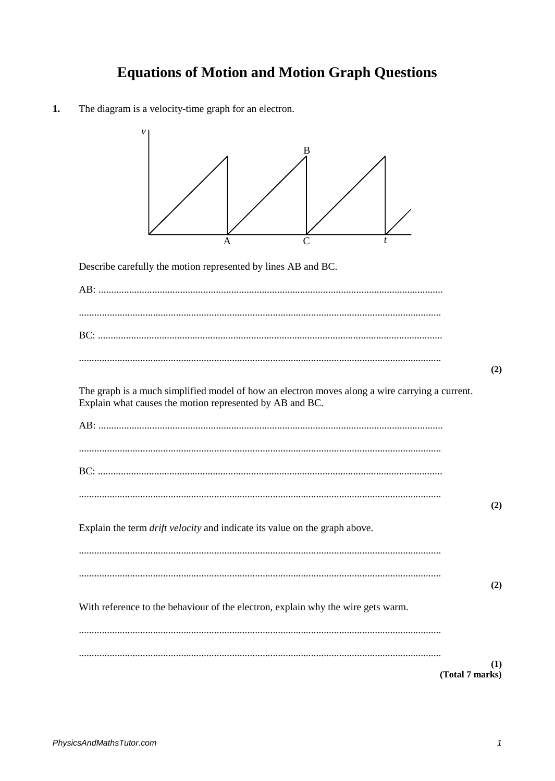## **Equations of Motion and Motion Graph Questions**

 $1.$ The diagram is a velocity-time graph for an electron.

| B                                                                                                                                                                 |
|-------------------------------------------------------------------------------------------------------------------------------------------------------------------|
| Α                                                                                                                                                                 |
| Describe carefully the motion represented by lines AB and BC.                                                                                                     |
|                                                                                                                                                                   |
|                                                                                                                                                                   |
|                                                                                                                                                                   |
|                                                                                                                                                                   |
| (2)<br>The graph is a much simplified model of how an electron moves along a wire carrying a current.<br>Explain what causes the motion represented by AB and BC. |
|                                                                                                                                                                   |
|                                                                                                                                                                   |
|                                                                                                                                                                   |
|                                                                                                                                                                   |
| (2)                                                                                                                                                               |
| Explain the term <i>drift velocity</i> and indicate its value on the graph above.                                                                                 |
|                                                                                                                                                                   |
|                                                                                                                                                                   |
| (2)<br>With reference to the behaviour of the electron, explain why the wire gets warm.                                                                           |
|                                                                                                                                                                   |
| (1)<br>(Total 7 marks)                                                                                                                                            |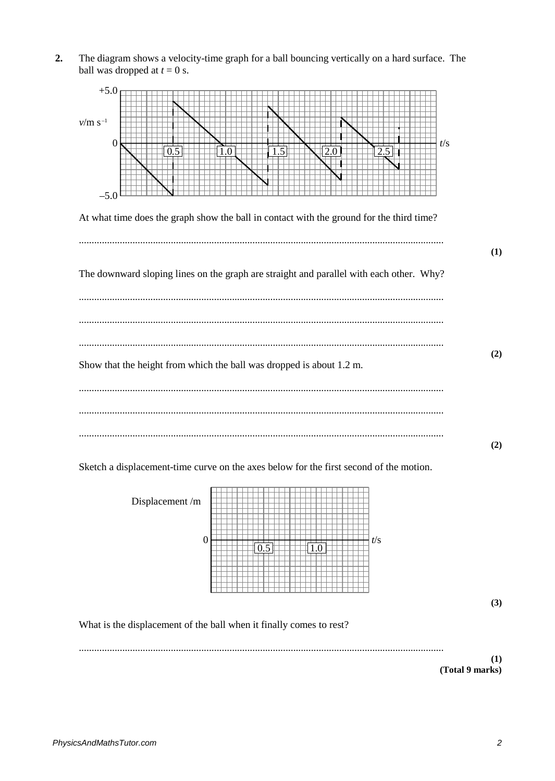The diagram shows a velocity-time graph for a ball bouncing vertically on a hard surface. The  $2.$ ball was dropped at  $t = 0$  s.



Sketch a displacement-time curve on the axes below for the first second of the motion.

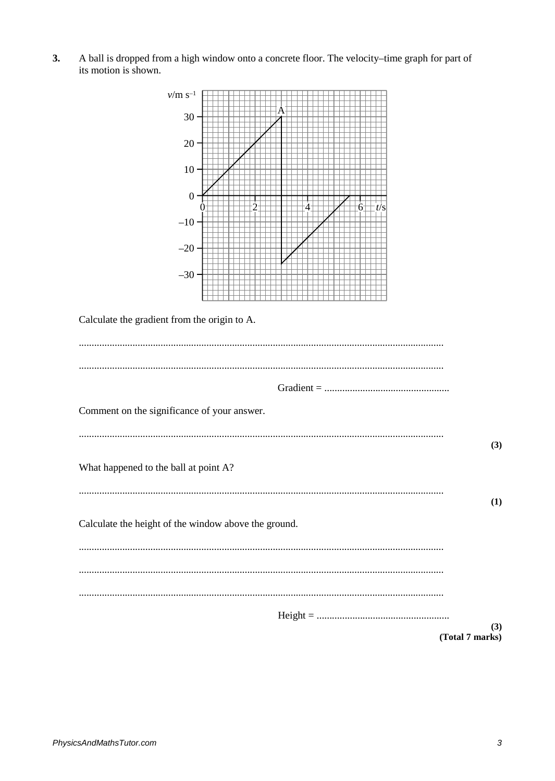A ball is dropped from a high window onto a concrete floor. The velocity-time graph for part of its motion is shown.  $3.$ 

| $v/m s^{-1}$                                         |                 |
|------------------------------------------------------|-----------------|
| $30 -$                                               |                 |
| 20 <sup>o</sup>                                      |                 |
| $10 -$                                               |                 |
| $\boldsymbol{0}$                                     | t/s<br>4<br>0   |
| $-10-$                                               |                 |
| $-20$                                                |                 |
| $-30$                                                |                 |
| Calculate the gradient from the origin to A.         |                 |
|                                                      |                 |
|                                                      |                 |
|                                                      |                 |
| Comment on the significance of your answer.          |                 |
|                                                      | (3)             |
| What happened to the ball at point A?                |                 |
|                                                      | (1)             |
| Calculate the height of the window above the ground. |                 |
|                                                      |                 |
|                                                      |                 |
|                                                      |                 |
|                                                      | (3)             |
|                                                      | (Total 7 marks) |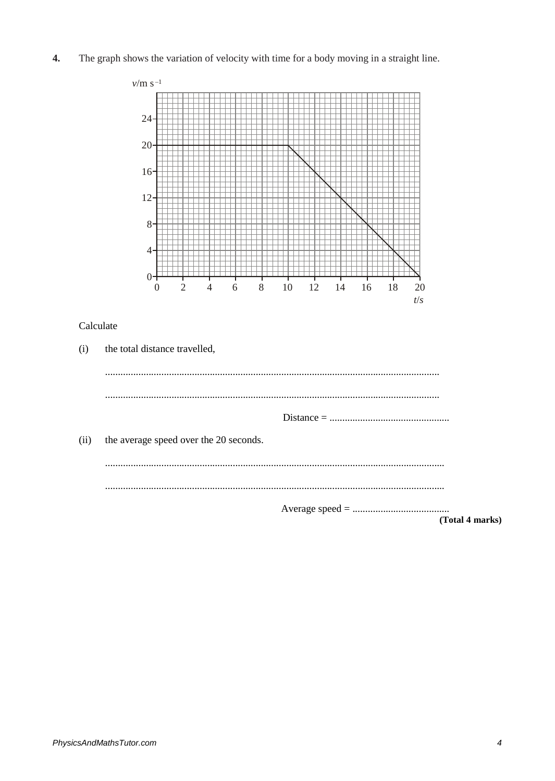$\overline{4}$ . The graph shows the variation of velocity with time for a body moving in a straight line.

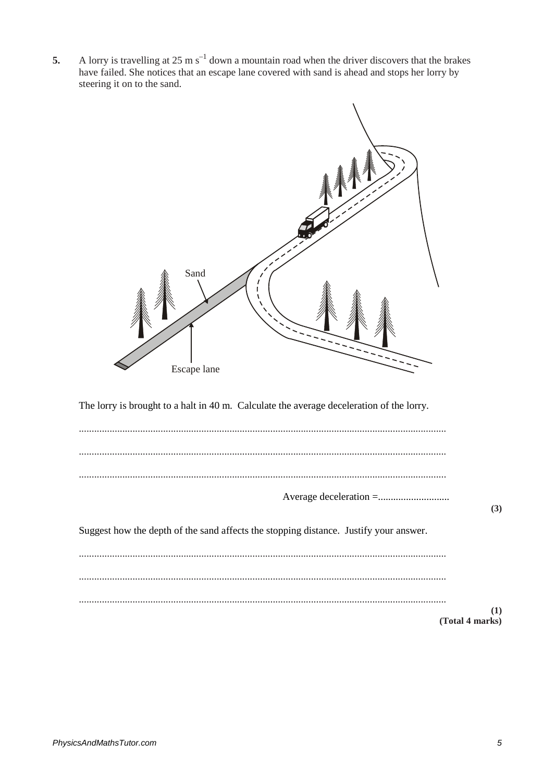A lorry is travelling at 25 m  $s^{-1}$  down a mountain road when the driver discovers that the brakes 5. have failed. She notices that an escape lane covered with sand is ahead and stops her lorry by steering it on to the sand.

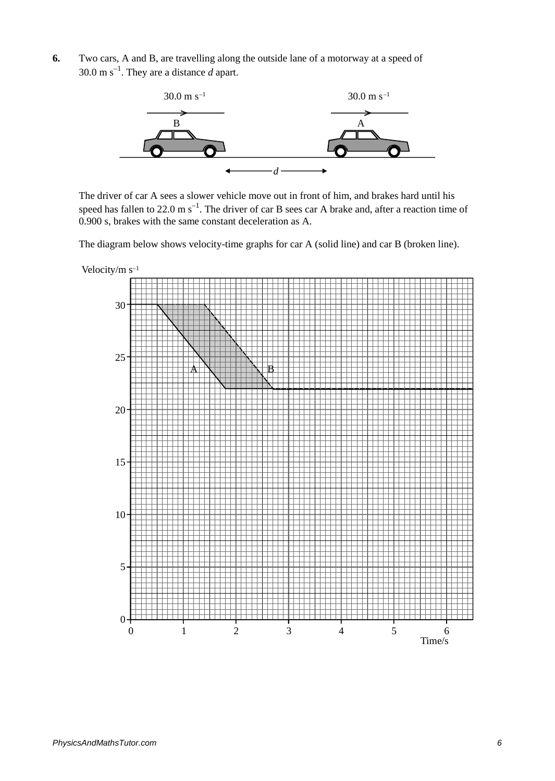**6.** Two cars, A and B, are travelling along the outside lane of a motorway at a speed of  $30.0 \text{ m s}^{-1}$ . They are a distance *d* apart.



The driver of car A sees a slower vehicle move out in front of him, and brakes hard until his speed has fallen to 22.0 m  $s^{-1}$ . The driver of car B sees car A brake and, after a reaction time of 0.900 s, brakes with the same constant deceleration as A.

The diagram below shows velocity-time graphs for car A (solid line) and car B (broken line).

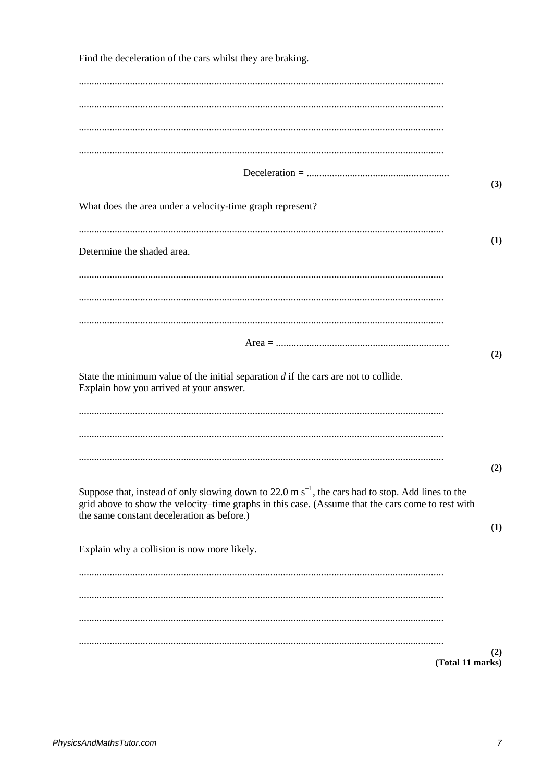| Find the deceleration of the cars whilst they are braking.                                                                                                                                                  |                  |
|-------------------------------------------------------------------------------------------------------------------------------------------------------------------------------------------------------------|------------------|
|                                                                                                                                                                                                             |                  |
|                                                                                                                                                                                                             |                  |
|                                                                                                                                                                                                             |                  |
|                                                                                                                                                                                                             |                  |
|                                                                                                                                                                                                             |                  |
|                                                                                                                                                                                                             |                  |
|                                                                                                                                                                                                             | (3)              |
| What does the area under a velocity-time graph represent?                                                                                                                                                   |                  |
|                                                                                                                                                                                                             |                  |
| Determine the shaded area.                                                                                                                                                                                  | (1)              |
|                                                                                                                                                                                                             |                  |
|                                                                                                                                                                                                             |                  |
|                                                                                                                                                                                                             |                  |
|                                                                                                                                                                                                             |                  |
|                                                                                                                                                                                                             |                  |
|                                                                                                                                                                                                             | (2)              |
| State the minimum value of the initial separation $d$ if the cars are not to collide.                                                                                                                       |                  |
| Explain how you arrived at your answer.                                                                                                                                                                     |                  |
|                                                                                                                                                                                                             |                  |
|                                                                                                                                                                                                             |                  |
|                                                                                                                                                                                                             |                  |
|                                                                                                                                                                                                             | (2)              |
|                                                                                                                                                                                                             |                  |
| Suppose that, instead of only slowing down to 22.0 m $s^{-1}$ , the cars had to stop. Add lines to the<br>grid above to show the velocity-time graphs in this case. (Assume that the cars come to rest with |                  |
| the same constant deceleration as before.)                                                                                                                                                                  | (1)              |
|                                                                                                                                                                                                             |                  |
| Explain why a collision is now more likely.                                                                                                                                                                 |                  |
|                                                                                                                                                                                                             |                  |
|                                                                                                                                                                                                             |                  |
|                                                                                                                                                                                                             |                  |
|                                                                                                                                                                                                             |                  |
|                                                                                                                                                                                                             | (2)              |
|                                                                                                                                                                                                             | (Total 11 marks) |